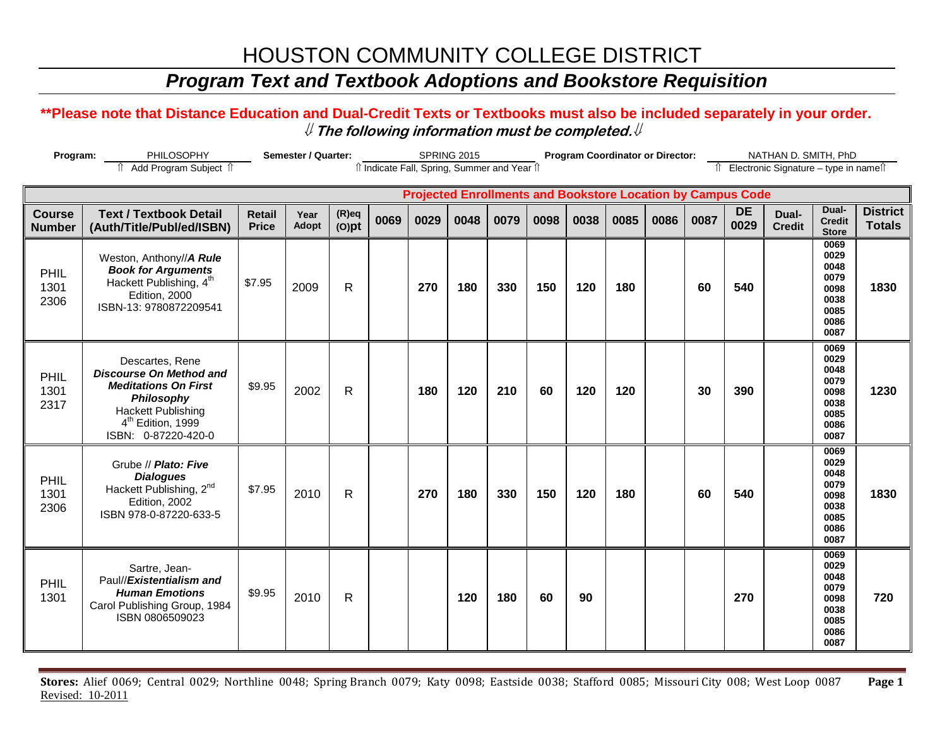### *Program Text and Textbook Adoptions and Bookstore Requisition*

### **\*\*Please note that Distance Education and Dual-Credit Texts or Textbooks must also be included separately in your order.**  ⇓ **The following information must be completed.**⇓

| Semester / Quarter:<br>Program:<br>PHILOSOPHY |                                                                                                                                                                                     |                               |               |                      | <b>SPRING 2015</b><br>îl Indicate Fall, Spring, Summer and Year îl |      |      |      |      | <b>Program Coordinator or Director:</b> |                                                                    |      |      |                   | NATHAN D. SMITH, PhD                     |                                                                      |                                  |  |
|-----------------------------------------------|-------------------------------------------------------------------------------------------------------------------------------------------------------------------------------------|-------------------------------|---------------|----------------------|--------------------------------------------------------------------|------|------|------|------|-----------------------------------------|--------------------------------------------------------------------|------|------|-------------------|------------------------------------------|----------------------------------------------------------------------|----------------------------------|--|
|                                               | Add Program Subject 1                                                                                                                                                               |                               |               |                      |                                                                    |      |      |      |      |                                         |                                                                    |      |      |                   | î Electronic Signature - type in nameî î |                                                                      |                                  |  |
|                                               |                                                                                                                                                                                     |                               |               |                      |                                                                    |      |      |      |      |                                         | <b>Projected Enrollments and Bookstore Location by Campus Code</b> |      |      |                   |                                          |                                                                      |                                  |  |
| <b>Course</b><br><b>Number</b>                | <b>Text / Textbook Detail</b><br>(Auth/Title/Publ/ed/ISBN)                                                                                                                          | <b>Retail</b><br><b>Price</b> | Year<br>Adopt | $(R)$ eq<br>$(O)$ pt | 0069                                                               | 0029 | 0048 | 0079 | 0098 | 0038                                    | 0085                                                               | 0086 | 0087 | <b>DE</b><br>0029 | Dual-<br><b>Credit</b>                   | Dual-<br><b>Credit</b><br><b>Store</b>                               | <b>District</b><br><b>Totals</b> |  |
| PHIL<br>1301<br>2306                          | Weston, Anthony//A Rule<br><b>Book for Arguments</b><br>Hackett Publishing, 4 <sup>th</sup><br>Edition, 2000<br>ISBN-13: 9780872209541                                              | \$7.95                        | 2009          | $\mathsf{R}$         |                                                                    | 270  | 180  | 330  | 150  | 120                                     | 180                                                                |      | 60   | 540               |                                          | 0069<br>0029<br>0048<br>0079<br>0098<br>0038<br>0085<br>0086<br>0087 | 1830                             |  |
| PHIL<br>1301<br>2317                          | Descartes, Rene<br><b>Discourse On Method and</b><br><b>Meditations On First</b><br>Philosophy<br><b>Hackett Publishing</b><br>4 <sup>th</sup> Edition, 1999<br>ISBN: 0-87220-420-0 | \$9.95                        | 2002          | $\mathsf{R}$         |                                                                    | 180  | 120  | 210  | 60   | 120                                     | 120                                                                |      | 30   | 390               |                                          | 0069<br>0029<br>0048<br>0079<br>0098<br>0038<br>0085<br>0086<br>0087 | 1230                             |  |
| PHIL<br>1301<br>2306                          | Grube // Plato: Five<br><b>Dialogues</b><br>Hackett Publishing, 2 <sup>nd</sup><br>Edition, 2002<br>ISBN 978-0-87220-633-5                                                          | \$7.95                        | 2010          | $\mathsf{R}$         |                                                                    | 270  | 180  | 330  | 150  | 120                                     | 180                                                                |      | 60   | 540               |                                          | 0069<br>0029<br>0048<br>0079<br>0098<br>0038<br>0085<br>0086<br>0087 | 1830                             |  |
| PHIL<br>1301                                  | Sartre, Jean-<br>Paul//Existentialism and<br><b>Human Emotions</b><br>Carol Publishing Group, 1984<br>ISBN 0806509023                                                               | \$9.95                        | 2010          | $\mathsf{R}$         |                                                                    |      | 120  | 180  | 60   | 90                                      |                                                                    |      |      | 270               |                                          | 0069<br>0029<br>0048<br>0079<br>0098<br>0038<br>0085<br>0086<br>0087 | 720                              |  |

**Stores:** Alief 0069; Central 0029; Northline 0048; Spring Branch 0079; Katy 0098; Eastside 0038; Stafford 0085; Missouri City 008; West Loop 0087 **Page 1** Revised: 10-2011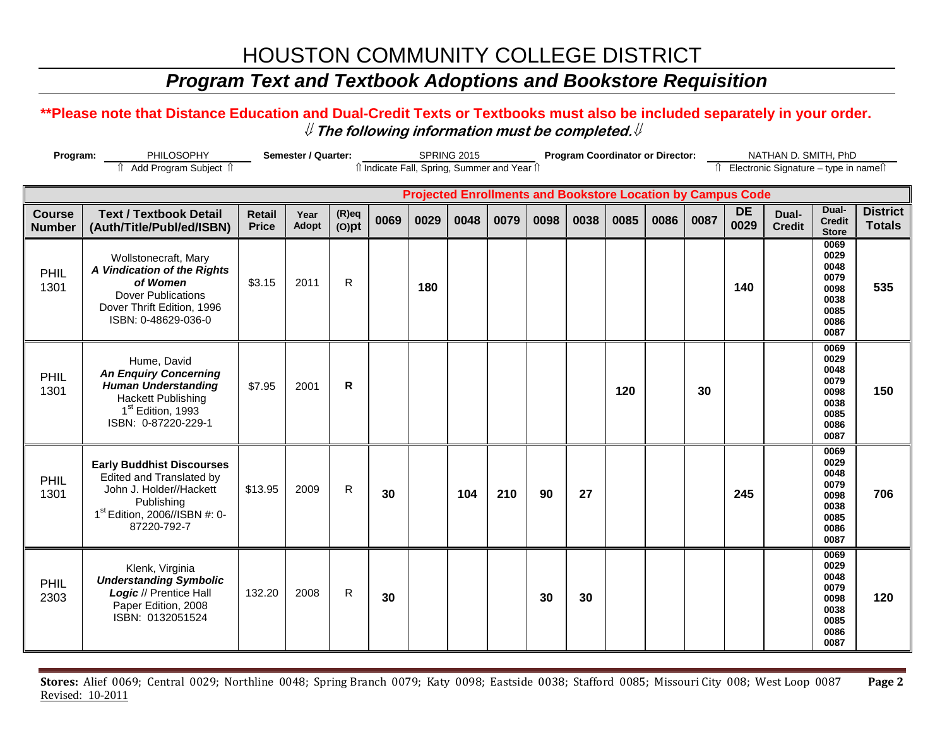### *Program Text and Textbook Adoptions and Bookstore Requisition*

### **\*\*Please note that Distance Education and Dual-Credit Texts or Textbooks must also be included separately in your order.**  ⇓ **The following information must be completed.**⇓

| Semester / Quarter:<br>Program:<br>PHILOSOPHY |                                                                                                                                                                   |                               |                      | <b>SPRING 2015</b><br>îl Indicate Fall, Spring, Summer and Year îl |      |                                                                    |      |      | <b>Program Coordinator or Director:</b> |      |      |      |                                          | NATHAN D. SMITH, PhD |                        |                                                                      |                                  |
|-----------------------------------------------|-------------------------------------------------------------------------------------------------------------------------------------------------------------------|-------------------------------|----------------------|--------------------------------------------------------------------|------|--------------------------------------------------------------------|------|------|-----------------------------------------|------|------|------|------------------------------------------|----------------------|------------------------|----------------------------------------------------------------------|----------------------------------|
|                                               | î Add Program Subject î                                                                                                                                           |                               |                      |                                                                    |      |                                                                    |      |      |                                         |      |      |      | Îl Electronic Signature - type in nameîl |                      |                        |                                                                      |                                  |
|                                               |                                                                                                                                                                   |                               |                      |                                                                    |      | <b>Projected Enrollments and Bookstore Location by Campus Code</b> |      |      |                                         |      |      |      |                                          |                      |                        |                                                                      |                                  |
| <b>Course</b><br><b>Number</b>                | <b>Text / Textbook Detail</b><br>(Auth/Title/Publ/ed/ISBN)                                                                                                        | <b>Retail</b><br><b>Price</b> | Year<br><b>Adopt</b> | $(R)$ eq<br>$(O)$ pt                                               | 0069 | 0029                                                               | 0048 | 0079 | 0098                                    | 0038 | 0085 | 0086 | 0087                                     | <b>DE</b><br>0029    | Dual-<br><b>Credit</b> | Dual-<br><b>Credit</b><br><b>Store</b>                               | <b>District</b><br><b>Totals</b> |
| PHIL<br>1301                                  | Wollstonecraft, Mary<br>A Vindication of the Rights<br>of Women<br><b>Dover Publications</b><br>Dover Thrift Edition, 1996<br>ISBN: 0-48629-036-0                 | \$3.15                        | 2011                 | R                                                                  |      | 180                                                                |      |      |                                         |      |      |      |                                          | 140                  |                        | 0069<br>0029<br>0048<br>0079<br>0098<br>0038<br>0085<br>0086<br>0087 | 535                              |
| PHIL<br>1301                                  | Hume, David<br><b>An Enquiry Concerning</b><br><b>Human Understanding</b><br><b>Hackett Publishing</b><br>1 <sup>st</sup> Edition, 1993<br>ISBN: 0-87220-229-1    | \$7.95                        | 2001                 | $\mathsf{R}$                                                       |      |                                                                    |      |      |                                         |      | 120  |      | 30                                       |                      |                        | 0069<br>0029<br>0048<br>0079<br>0098<br>0038<br>0085<br>0086<br>0087 | 150                              |
| PHIL<br>1301                                  | <b>Early Buddhist Discourses</b><br>Edited and Translated by<br>John J. Holder//Hackett<br>Publishing<br>1 <sup>st</sup> Edition, 2006//ISBN #: 0-<br>87220-792-7 | \$13.95                       | 2009                 | R                                                                  | 30   |                                                                    | 104  | 210  | 90                                      | 27   |      |      |                                          | 245                  |                        | 0069<br>0029<br>0048<br>0079<br>0098<br>0038<br>0085<br>0086<br>0087 | 706                              |
| PHIL<br>2303                                  | Klenk, Virginia<br><b>Understanding Symbolic</b><br>Logic // Prentice Hall<br>Paper Edition, 2008<br>ISBN: 0132051524                                             | 132.20                        | 2008                 | R                                                                  | 30   |                                                                    |      |      | 30                                      | 30   |      |      |                                          |                      |                        | 0069<br>0029<br>0048<br>0079<br>0098<br>0038<br>0085<br>0086<br>0087 | 120                              |

**Stores:** Alief 0069; Central 0029; Northline 0048; Spring Branch 0079; Katy 0098; Eastside 0038; Stafford 0085; Missouri City 008; West Loop 0087 **Page 2** Revised: 10-2011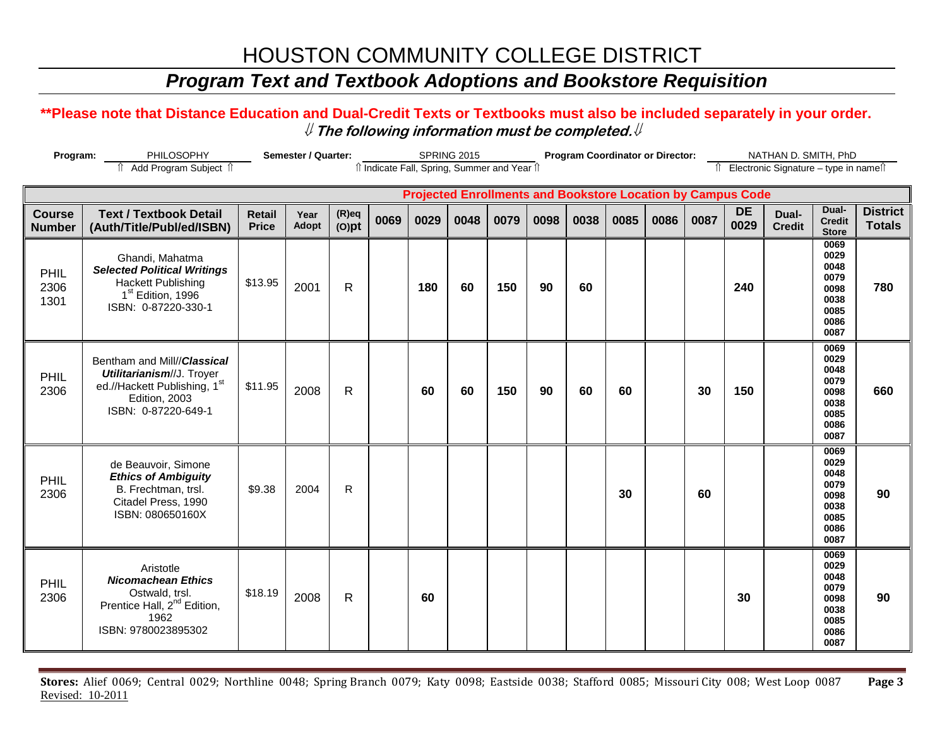### *Program Text and Textbook Adoptions and Bookstore Requisition*

### **\*\*Please note that Distance Education and Dual-Credit Texts or Textbooks must also be included separately in your order.**  ⇓ **The following information must be completed.**⇓

| Semester / Quarter:<br>Program:<br>PHILOSOPHY |                                                                                                                                            |                               |               |                      |      |                                              | <b>SPRING 2015</b> |      | <b>Program Coordinator or Director:</b> |      |                                                                    |      |                                          | NATHAN D. SMITH, PhD |                        |                                                                      |                                  |
|-----------------------------------------------|--------------------------------------------------------------------------------------------------------------------------------------------|-------------------------------|---------------|----------------------|------|----------------------------------------------|--------------------|------|-----------------------------------------|------|--------------------------------------------------------------------|------|------------------------------------------|----------------------|------------------------|----------------------------------------------------------------------|----------------------------------|
|                                               | Add Program Subject 1                                                                                                                      |                               |               |                      |      | îl Indicate Fall, Spring, Summer and Year îl |                    |      |                                         |      |                                                                    |      | Îl Electronic Signature - type in nameîl |                      |                        |                                                                      |                                  |
|                                               |                                                                                                                                            |                               |               |                      |      |                                              |                    |      |                                         |      | <b>Projected Enrollments and Bookstore Location by Campus Code</b> |      |                                          |                      |                        |                                                                      |                                  |
| <b>Course</b><br><b>Number</b>                | <b>Text / Textbook Detail</b><br>(Auth/Title/Publ/ed/ISBN)                                                                                 | <b>Retail</b><br><b>Price</b> | Year<br>Adopt | $(R)$ eq<br>$(O)$ pt | 0069 | 0029                                         | 0048               | 0079 | 0098                                    | 0038 | 0085                                                               | 0086 | 0087                                     | <b>DE</b><br>0029    | Dual-<br><b>Credit</b> | Dual-<br><b>Credit</b><br><b>Store</b>                               | <b>District</b><br><b>Totals</b> |
| PHIL<br>2306<br>1301                          | Ghandi, Mahatma<br><b>Selected Political Writings</b><br><b>Hackett Publishing</b><br>1 <sup>st</sup> Edition, 1996<br>ISBN: 0-87220-330-1 | \$13.95                       | 2001          | $\mathsf{R}$         |      | 180                                          | 60                 | 150  | 90                                      | 60   |                                                                    |      |                                          | 240                  |                        | 0069<br>0029<br>0048<br>0079<br>0098<br>0038<br>0085<br>0086<br>0087 | 780                              |
| PHIL<br>2306                                  | Bentham and Mill//Classical<br>Utilitarianism//J. Troyer<br>ed.//Hackett Publishing, 1st<br>Edition, 2003<br>ISBN: 0-87220-649-1           | \$11.95                       | 2008          | $\mathsf{R}$         |      | 60                                           | 60                 | 150  | 90                                      | 60   | 60                                                                 |      | 30                                       | 150                  |                        | 0069<br>0029<br>0048<br>0079<br>0098<br>0038<br>0085<br>0086<br>0087 | 660                              |
| PHIL<br>2306                                  | de Beauvoir, Simone<br><b>Ethics of Ambiguity</b><br>B. Frechtman, trsl.<br>Citadel Press, 1990<br>ISBN: 080650160X                        | \$9.38                        | 2004          | R                    |      |                                              |                    |      |                                         |      | 30                                                                 |      | 60                                       |                      |                        | 0069<br>0029<br>0048<br>0079<br>0098<br>0038<br>0085<br>0086<br>0087 | 90                               |
| PHIL<br>2306                                  | Aristotle<br><b>Nicomachean Ethics</b><br>Ostwald, trsl.<br>Prentice Hall, 2 <sup>nd</sup> Edition,<br>1962<br>ISBN: 9780023895302         | \$18.19                       | 2008          | $\mathsf{R}$         |      | 60                                           |                    |      |                                         |      |                                                                    |      |                                          | 30                   |                        | 0069<br>0029<br>0048<br>0079<br>0098<br>0038<br>0085<br>0086<br>0087 | 90                               |

**Stores:** Alief 0069; Central 0029; Northline 0048; Spring Branch 0079; Katy 0098; Eastside 0038; Stafford 0085; Missouri City 008; West Loop 0087 **Page 3** Revised: 10-2011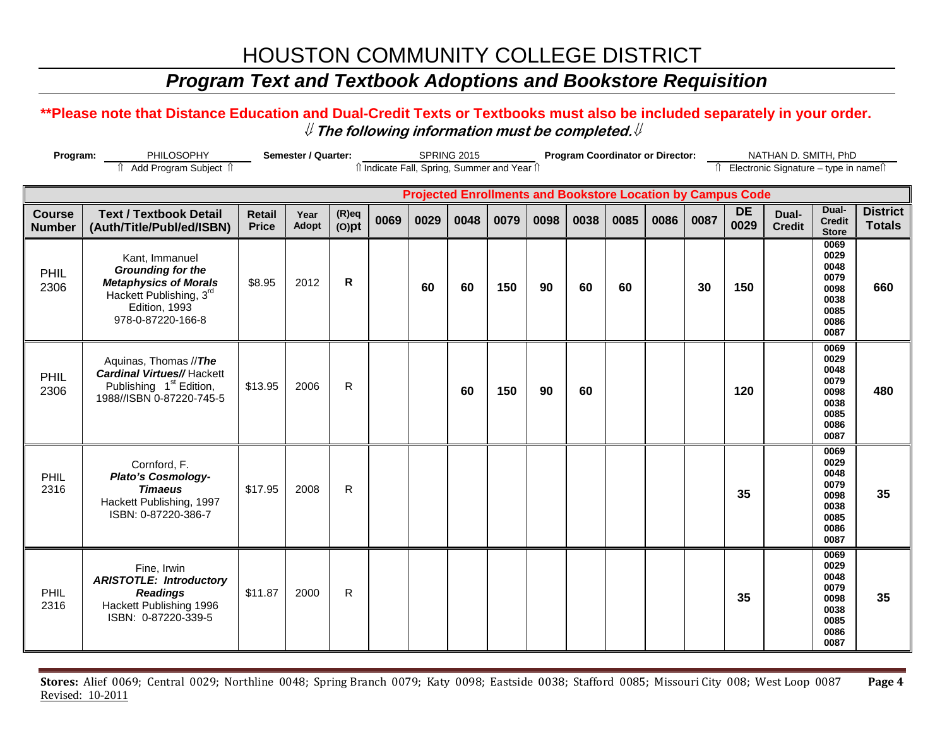## *Program Text and Textbook Adoptions and Bookstore Requisition*

### **\*\*Please note that Distance Education and Dual-Credit Texts or Textbooks must also be included separately in your order.**  ⇓ **The following information must be completed.**⇓

| Semester / Quarter:<br>Program:<br>PHILOSOPHY |                                                                                                                                             |                               |               |                      |      |                                              | <b>SPRING 2015</b> |      | <b>Program Coordinator or Director:</b> |                                                                    |      |      |      | NATHAN D. SMITH, PhD<br>Î Electronic Signature - type in nameî |                        |                                                                      |                                  |
|-----------------------------------------------|---------------------------------------------------------------------------------------------------------------------------------------------|-------------------------------|---------------|----------------------|------|----------------------------------------------|--------------------|------|-----------------------------------------|--------------------------------------------------------------------|------|------|------|----------------------------------------------------------------|------------------------|----------------------------------------------------------------------|----------------------------------|
|                                               | fî Add Program Subject fî                                                                                                                   |                               |               |                      |      | îl Indicate Fall, Spring, Summer and Year îl |                    |      |                                         |                                                                    |      |      |      |                                                                |                        |                                                                      |                                  |
|                                               |                                                                                                                                             |                               |               |                      |      |                                              |                    |      |                                         | <b>Projected Enrollments and Bookstore Location by Campus Code</b> |      |      |      |                                                                |                        |                                                                      |                                  |
| <b>Course</b><br><b>Number</b>                | <b>Text / Textbook Detail</b><br>(Auth/Title/Publ/ed/ISBN)                                                                                  | <b>Retail</b><br><b>Price</b> | Year<br>Adopt | $(R)$ eq<br>$(O)$ pt | 0069 | 0029                                         | 0048               | 0079 | 0098                                    | 0038                                                               | 0085 | 0086 | 0087 | <b>DE</b><br>0029                                              | Dual-<br><b>Credit</b> | Dual-<br><b>Credit</b><br><b>Store</b>                               | <b>District</b><br><b>Totals</b> |
| PHIL<br>2306                                  | Kant, Immanuel<br><b>Grounding for the</b><br><b>Metaphysics of Morals</b><br>Hackett Publishing, 3rd<br>Edition, 1993<br>978-0-87220-166-8 | \$8.95                        | 2012          | R.                   |      | 60                                           | 60                 | 150  | 90                                      | 60                                                                 | 60   |      | 30   | 150                                                            |                        | 0069<br>0029<br>0048<br>0079<br>0098<br>0038<br>0085<br>0086<br>0087 | 660                              |
| PHIL<br>2306                                  | Aquinas, Thomas //The<br><b>Cardinal Virtues//Hackett</b><br>Publishing 1 <sup>st</sup> Edition,<br>1988//ISBN 0-87220-745-5                | \$13.95                       | 2006          | $\mathsf{R}$         |      |                                              | 60                 | 150  | 90                                      | 60                                                                 |      |      |      | 120                                                            |                        | 0069<br>0029<br>0048<br>0079<br>0098<br>0038<br>0085<br>0086<br>0087 | 480                              |
| PHIL<br>2316                                  | Cornford, F.<br><b>Plato's Cosmology-</b><br><b>Timaeus</b><br>Hackett Publishing, 1997<br>ISBN: 0-87220-386-7                              | \$17.95                       | 2008          | $\mathsf{R}$         |      |                                              |                    |      |                                         |                                                                    |      |      |      | 35                                                             |                        | 0069<br>0029<br>0048<br>0079<br>0098<br>0038<br>0085<br>0086<br>0087 | 35                               |
| PHIL<br>2316                                  | Fine, Irwin<br><b>ARISTOTLE: Introductory</b><br><b>Readings</b><br>Hackett Publishing 1996<br>ISBN: 0-87220-339-5                          | \$11.87                       | 2000          | R                    |      |                                              |                    |      |                                         |                                                                    |      |      |      | 35                                                             |                        | 0069<br>0029<br>0048<br>0079<br>0098<br>0038<br>0085<br>0086<br>0087 | 35                               |

**Stores:** Alief 0069; Central 0029; Northline 0048; Spring Branch 0079; Katy 0098; Eastside 0038; Stafford 0085; Missouri City 008; West Loop 0087 **Page 4** Revised: 10-2011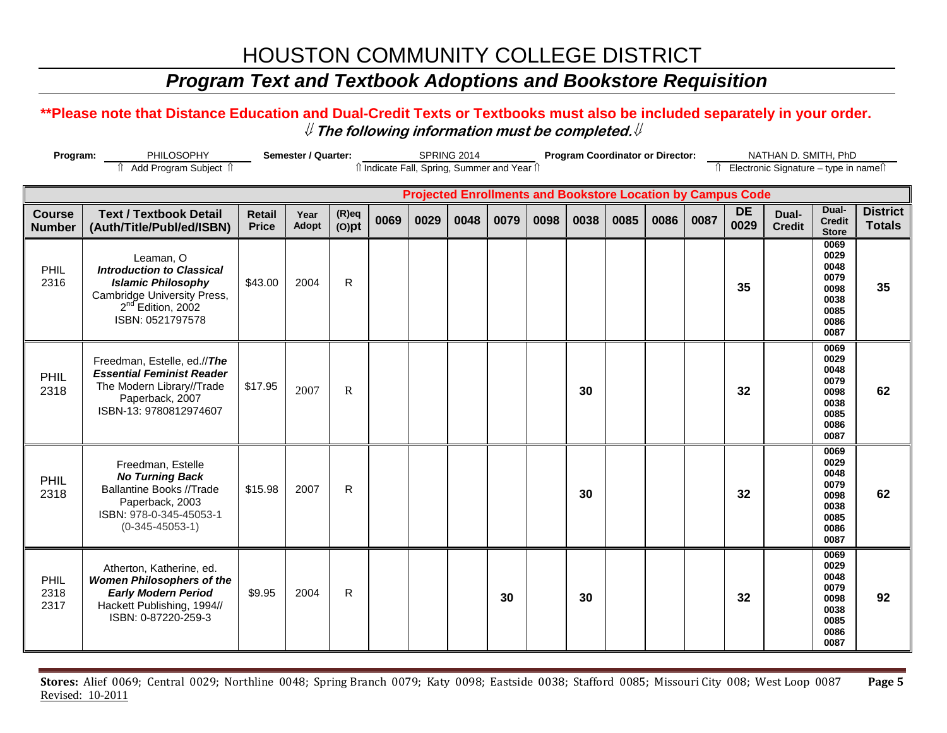### *Program Text and Textbook Adoptions and Bookstore Requisition*

### **\*\*Please note that Distance Education and Dual-Credit Texts or Textbooks must also be included separately in your order.**  ⇓ **The following information must be completed.**⇓

| Program:<br>PHILOSOPHY<br>n Add Program Subject n |                                                                                                                                                                | Semester / Quarter:<br>SPRING 2014<br>î Indicate Fall, Spring, Summer and Year î |               |                      |      |      |      |      |      |      | <b>Program Coordinator or Director:</b> |      |      | NATHAN D. SMITH, PhD<br>î Electronic Signature - type in nameî î   |                        |                                                                      |                                  |
|---------------------------------------------------|----------------------------------------------------------------------------------------------------------------------------------------------------------------|----------------------------------------------------------------------------------|---------------|----------------------|------|------|------|------|------|------|-----------------------------------------|------|------|--------------------------------------------------------------------|------------------------|----------------------------------------------------------------------|----------------------------------|
|                                                   |                                                                                                                                                                |                                                                                  |               |                      |      |      |      |      |      |      |                                         |      |      | <b>Projected Enrollments and Bookstore Location by Campus Code</b> |                        |                                                                      |                                  |
| <b>Course</b><br><b>Number</b>                    | <b>Text / Textbook Detail</b><br>(Auth/Title/Publ/ed/ISBN)                                                                                                     | <b>Retail</b><br><b>Price</b>                                                    | Year<br>Adopt | $(R)$ eq<br>$(O)$ pt | 0069 | 0029 | 0048 | 0079 | 0098 | 0038 | 0085                                    | 0086 | 0087 | <b>DE</b><br>0029                                                  | Dual-<br><b>Credit</b> | Dual-<br><b>Credit</b><br><b>Store</b>                               | <b>District</b><br><b>Totals</b> |
| PHIL<br>2316                                      | Leaman, O<br><b>Introduction to Classical</b><br><b>Islamic Philosophy</b><br>Cambridge University Press,<br>2 <sup>nd</sup> Edition, 2002<br>ISBN: 0521797578 | \$43.00                                                                          | 2004          | $\mathsf{R}$         |      |      |      |      |      |      |                                         |      |      | 35                                                                 |                        | 0069<br>0029<br>0048<br>0079<br>0098<br>0038<br>0085<br>0086<br>0087 | 35                               |
| PHIL<br>2318                                      | Freedman, Estelle, ed.//The<br><b>Essential Feminist Reader</b><br>The Modern Library//Trade<br>Paperback, 2007<br>ISBN-13: 9780812974607                      | \$17.95                                                                          | 2007          | $\mathbb{R}$         |      |      |      |      |      | 30   |                                         |      |      | 32                                                                 |                        | 0069<br>0029<br>0048<br>0079<br>0098<br>0038<br>0085<br>0086<br>0087 | 62                               |
| PHIL<br>2318                                      | Freedman, Estelle<br><b>No Turning Back</b><br><b>Ballantine Books //Trade</b><br>Paperback, 2003<br>ISBN: 978-0-345-45053-1<br>$(0-345-45053-1)$              | \$15.98                                                                          | 2007          | $\mathsf{R}$         |      |      |      |      |      | 30   |                                         |      |      | 32                                                                 |                        | 0069<br>0029<br>0048<br>0079<br>0098<br>0038<br>0085<br>0086<br>0087 | 62                               |
| PHIL<br>2318<br>2317                              | Atherton, Katherine, ed.<br><b>Women Philosophers of the</b><br><b>Early Modern Period</b><br>Hackett Publishing, 1994//<br>ISBN: 0-87220-259-3                | \$9.95                                                                           | 2004          | $\mathsf{R}$         |      |      |      | 30   |      | 30   |                                         |      |      | 32                                                                 |                        | 0069<br>0029<br>0048<br>0079<br>0098<br>0038<br>0085<br>0086<br>0087 | 92                               |

**Stores:** Alief 0069; Central 0029; Northline 0048; Spring Branch 0079; Katy 0098; Eastside 0038; Stafford 0085; Missouri City 008; West Loop 0087 **Page 5** Revised: 10-2011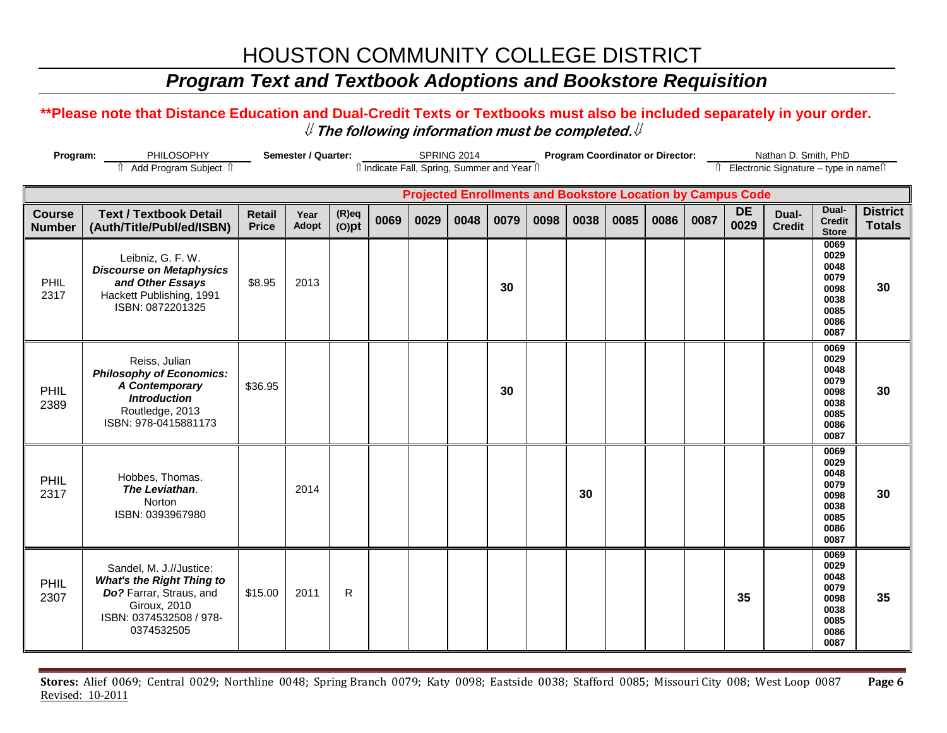## *Program Text and Textbook Adoptions and Bookstore Requisition*

### **\*\*Please note that Distance Education and Dual-Credit Texts or Textbooks must also be included separately in your order.**  ⇓ **The following information must be completed.**⇓

| Program:                       | Semester / Quarter:                                                                                                                             | SPRING 2014<br>îl Indicate Fall, Spring, Summer and Year îl |               |                      |      | <b>Program Coordinator or Director:</b> |      |      |      |      |      | Nathan D. Smith, PhD |                                                                    |            |                                          |                                                                      |                                  |
|--------------------------------|-------------------------------------------------------------------------------------------------------------------------------------------------|-------------------------------------------------------------|---------------|----------------------|------|-----------------------------------------|------|------|------|------|------|----------------------|--------------------------------------------------------------------|------------|------------------------------------------|----------------------------------------------------------------------|----------------------------------|
| Add Program Subject 1          |                                                                                                                                                 |                                                             |               |                      |      |                                         |      |      |      |      |      |                      |                                                                    |            | Îl Electronic Signature - type in nameîl |                                                                      |                                  |
|                                |                                                                                                                                                 |                                                             |               |                      |      |                                         |      |      |      |      |      |                      | <b>Projected Enrollments and Bookstore Location by Campus Code</b> |            |                                          |                                                                      |                                  |
| <b>Course</b><br><b>Number</b> | <b>Text / Textbook Detail</b><br>(Auth/Title/Publ/ed/ISBN)                                                                                      | <b>Retail</b><br><b>Price</b>                               | Year<br>Adopt | $(R)$ eq<br>$(O)$ pt | 0069 | 0029                                    | 0048 | 0079 | 0098 | 0038 | 0085 | 0086                 | 0087                                                               | DE<br>0029 | Dual-<br><b>Credit</b>                   | Dual-<br><b>Credit</b><br><b>Store</b>                               | <b>District</b><br><b>Totals</b> |
| PHIL<br>2317                   | Leibniz, G. F. W.<br><b>Discourse on Metaphysics</b><br>and Other Essays<br>Hackett Publishing, 1991<br>ISBN: 0872201325                        | \$8.95                                                      | 2013          |                      |      |                                         |      | 30   |      |      |      |                      |                                                                    |            |                                          | 0069<br>0029<br>0048<br>0079<br>0098<br>0038<br>0085<br>0086<br>0087 | 30                               |
| PHIL<br>2389                   | Reiss, Julian<br><b>Philosophy of Economics:</b><br>A Contemporary<br><b>Introduction</b><br>Routledge, 2013<br>ISBN: 978-0415881173            | \$36.95                                                     |               |                      |      |                                         |      | 30   |      |      |      |                      |                                                                    |            |                                          | 0069<br>0029<br>0048<br>0079<br>0098<br>0038<br>0085<br>0086<br>0087 | 30                               |
| PHIL<br>2317                   | Hobbes, Thomas.<br>The Leviathan.<br>Norton<br>ISBN: 0393967980                                                                                 |                                                             | 2014          |                      |      |                                         |      |      |      | 30   |      |                      |                                                                    |            |                                          | 0069<br>0029<br>0048<br>0079<br>0098<br>0038<br>0085<br>0086<br>0087 | 30                               |
| PHIL<br>2307                   | Sandel, M. J.//Justice:<br><b>What's the Right Thing to</b><br>Do? Farrar, Straus, and<br>Giroux, 2010<br>ISBN: 0374532508 / 978-<br>0374532505 | \$15.00                                                     | 2011          | R                    |      |                                         |      |      |      |      |      |                      |                                                                    | 35         |                                          | 0069<br>0029<br>0048<br>0079<br>0098<br>0038<br>0085<br>0086<br>0087 | 35                               |

**Stores:** Alief 0069; Central 0029; Northline 0048; Spring Branch 0079; Katy 0098; Eastside 0038; Stafford 0085; Missouri City 008; West Loop 0087 **Page 6** Revised: 10-2011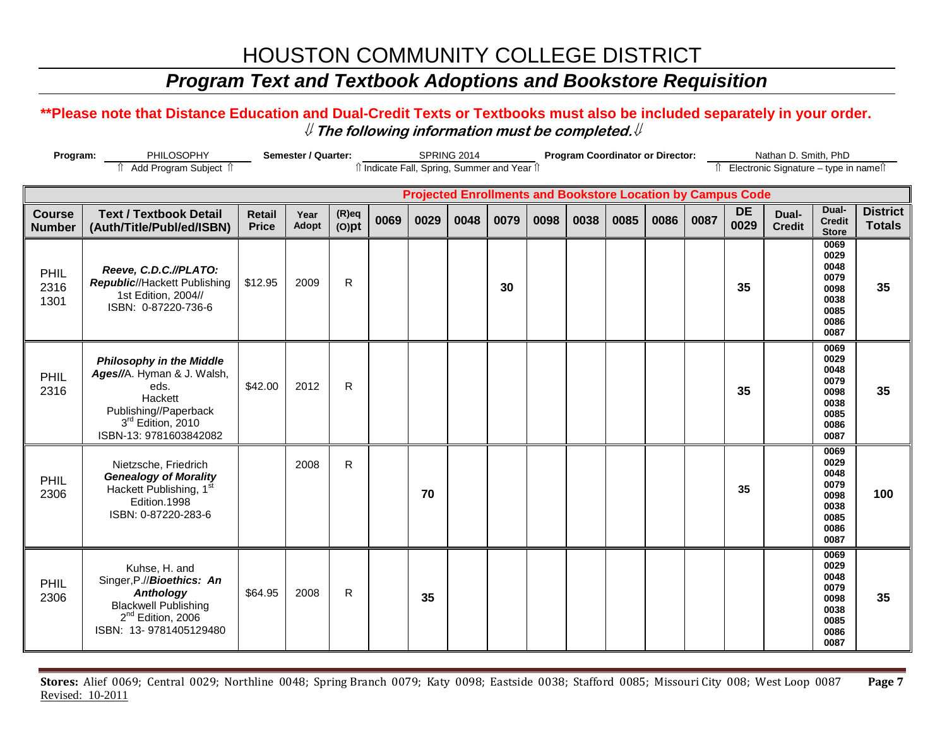### *Program Text and Textbook Adoptions and Bookstore Requisition*

### **\*\*Please note that Distance Education and Dual-Credit Texts or Textbooks must also be included separately in your order.**  ⇓ **The following information must be completed.**⇓

| Program:                       | Semester / Quarter:<br><b>SPRING 2014</b><br>T Add Program Subject 1                                                                                     |                                                                                                                  |               |                      |      |      | <b>Program Coordinator or Director:</b> |      |      |      |      |                                          | Nathan D. Smith, PhD |                   |                        |                                                                      |                                  |
|--------------------------------|----------------------------------------------------------------------------------------------------------------------------------------------------------|------------------------------------------------------------------------------------------------------------------|---------------|----------------------|------|------|-----------------------------------------|------|------|------|------|------------------------------------------|----------------------|-------------------|------------------------|----------------------------------------------------------------------|----------------------------------|
|                                |                                                                                                                                                          | î Indicate Fall, Spring, Summer and Year î<br><b>Projected Enrollments and Bookstore Location by Campus Code</b> |               |                      |      |      |                                         |      |      |      |      | Îl Electronic Signature - type in nameîl |                      |                   |                        |                                                                      |                                  |
|                                |                                                                                                                                                          |                                                                                                                  |               |                      |      |      |                                         |      |      |      |      |                                          |                      |                   |                        |                                                                      |                                  |
| <b>Course</b><br><b>Number</b> | <b>Text / Textbook Detail</b><br>(Auth/Title/Publ/ed/ISBN)                                                                                               | <b>Retail</b><br><b>Price</b>                                                                                    | Year<br>Adopt | $(R)$ eq<br>$(O)$ pt | 0069 | 0029 | 0048                                    | 0079 | 0098 | 0038 | 0085 | 0086                                     | 0087                 | <b>DE</b><br>0029 | Dual-<br><b>Credit</b> | Dual-<br><b>Credit</b><br><b>Store</b>                               | <b>District</b><br><b>Totals</b> |
| PHIL<br>2316<br>1301           | Reeve, C.D.C.//PLATO:<br>Republic//Hackett Publishing<br>1st Edition, 2004//<br>ISBN: 0-87220-736-6                                                      | \$12.95                                                                                                          | 2009          | ${\sf R}$            |      |      |                                         | 30   |      |      |      |                                          |                      | 35                |                        | 0069<br>0029<br>0048<br>0079<br>0098<br>0038<br>0085<br>0086<br>0087 | 35                               |
| PHIL<br>2316                   | <b>Philosophy in the Middle</b><br>Ages//A. Hyman & J. Walsh,<br>eds.<br>Hackett<br>Publishing//Paperback<br>3rd Edition, 2010<br>ISBN-13: 9781603842082 | \$42.00                                                                                                          | 2012          | $\mathsf{R}$         |      |      |                                         |      |      |      |      |                                          |                      | 35                |                        | 0069<br>0029<br>0048<br>0079<br>0098<br>0038<br>0085<br>0086<br>0087 | 35                               |
| PHIL<br>2306                   | Nietzsche, Friedrich<br><b>Genealogy of Morality</b><br>Hackett Publishing, 1st<br>Edition.1998<br>ISBN: 0-87220-283-6                                   |                                                                                                                  | 2008          | $\mathsf{R}$         |      | 70   |                                         |      |      |      |      |                                          |                      | 35                |                        | 0069<br>0029<br>0048<br>0079<br>0098<br>0038<br>0085<br>0086<br>0087 | 100                              |
| PHIL<br>2306                   | Kuhse, H. and<br>Singer, P.//Bioethics: An<br><b>Anthology</b><br><b>Blackwell Publishing</b><br>2 <sup>nd</sup> Edition, 2006<br>ISBN: 13-9781405129480 | \$64.95                                                                                                          | 2008          | $\mathsf{R}$         |      | 35   |                                         |      |      |      |      |                                          |                      |                   |                        | 0069<br>0029<br>0048<br>0079<br>0098<br>0038<br>0085<br>0086<br>0087 | 35                               |

**Stores:** Alief 0069; Central 0029; Northline 0048; Spring Branch 0079; Katy 0098; Eastside 0038; Stafford 0085; Missouri City 008; West Loop 0087 **Page 7** Revised: 10-2011